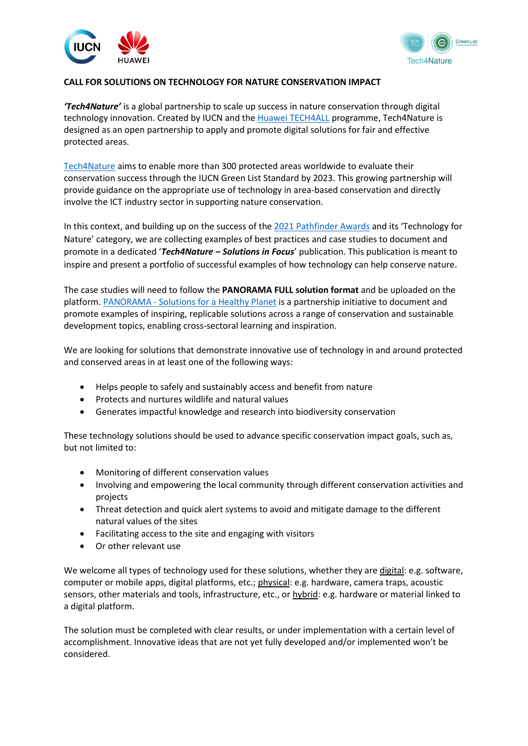



## **CALL FOR SOLUTIONS ON TECHNOLOGY FOR NATURE CONSERVATION IMPACT**

*'Tech4Nature'* is a global partnership to scale up success in nature conservation through digital technology innovation. Created by IUCN and th[e Huawei TECH4ALL](https://www.huawei.com/en/tech4all) programme, Tech4Nature is designed as an open partnership to apply and promote digital solutions for fair and effective protected areas.

[Tech4Nature](https://tech4nature.iucngreenlist.org/) aims to enable more than 300 protected areas worldwide to evaluate their conservation success through the IUCN Green List Standard by 2023. This growing partnership will provide guidance on the appropriate use of technology in area-based conservation and directly involve the ICT industry sector in supporting nature conservation.

In this context, and building up on the success of the [2021 Pathfinder Awards](https://panorama.solutions/en/news/pathfinder-award-2021-winners-announced-iucn-and-undp-recognise-innovation-nature-conservation) and its 'Technology for Nature' category, we are collecting examples of best practices and case studies to document and promote in a dedicated '*Tech4Nature – Solutions in Focus*' publication. This publication is meant to inspire and present a portfolio of successful examples of how technology can help conserve nature.

The case studies will need to follow the **PANORAMA FULL solution format** and be uploaded on the platform. PANORAMA - [Solutions for a Healthy Planet](https://panorama.solutions/en) is a partnership initiative to document and promote examples of inspiring, replicable solutions across a range of conservation and sustainable development topics, enabling cross-sectoral learning and inspiration.

We are looking for solutions that demonstrate innovative use of technology in and around protected and conserved areas in at least one of the following ways:

- Helps people to safely and sustainably access and benefit from nature
- Protects and nurtures wildlife and natural values
- Generates impactful knowledge and research into biodiversity conservation

These technology solutions should be used to advance specific conservation impact goals, such as, but not limited to:

- Monitoring of different conservation values
- Involving and empowering the local community through different conservation activities and projects
- Threat detection and quick alert systems to avoid and mitigate damage to the different natural values of the sites
- Facilitating access to the site and engaging with visitors
- Or other relevant use

We welcome all types of technology used for these solutions, whether they are digital: e.g. software, computer or mobile apps, digital platforms, etc.; physical: e.g. hardware, camera traps, acoustic sensors, other materials and tools, infrastructure, etc., or hybrid: e.g. hardware or material linked to a digital platform.

The solution must be completed with clear results, or under implementation with a certain level of accomplishment. Innovative ideas that are not yet fully developed and/or implemented won't be considered.